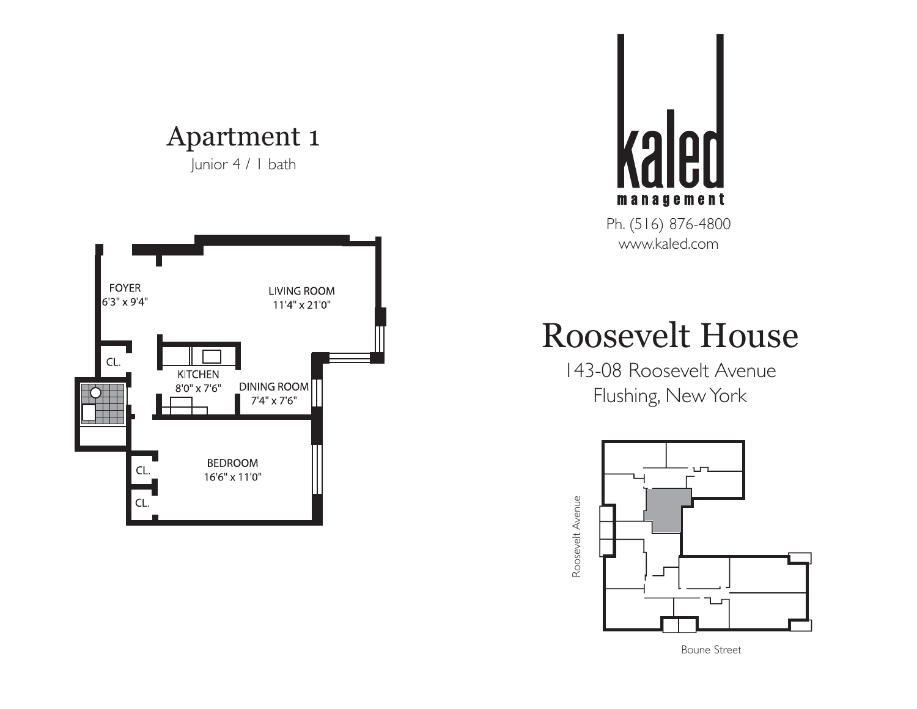Junior 4 / 1 bath





# Roosevelt House



Boune Street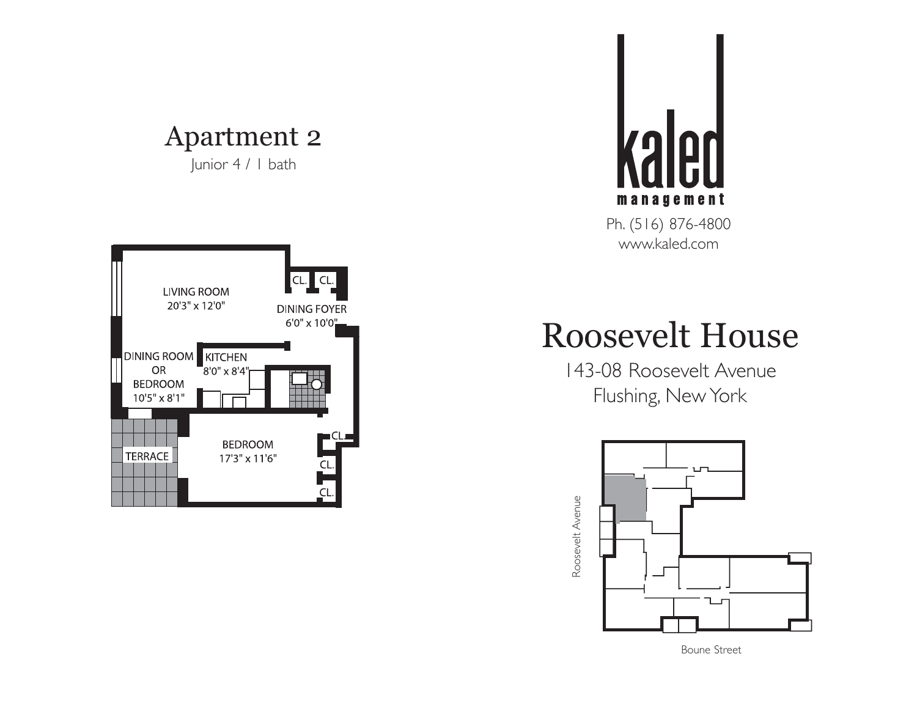Junior 4 / 1 bath





# Roosevelt House



Boune Street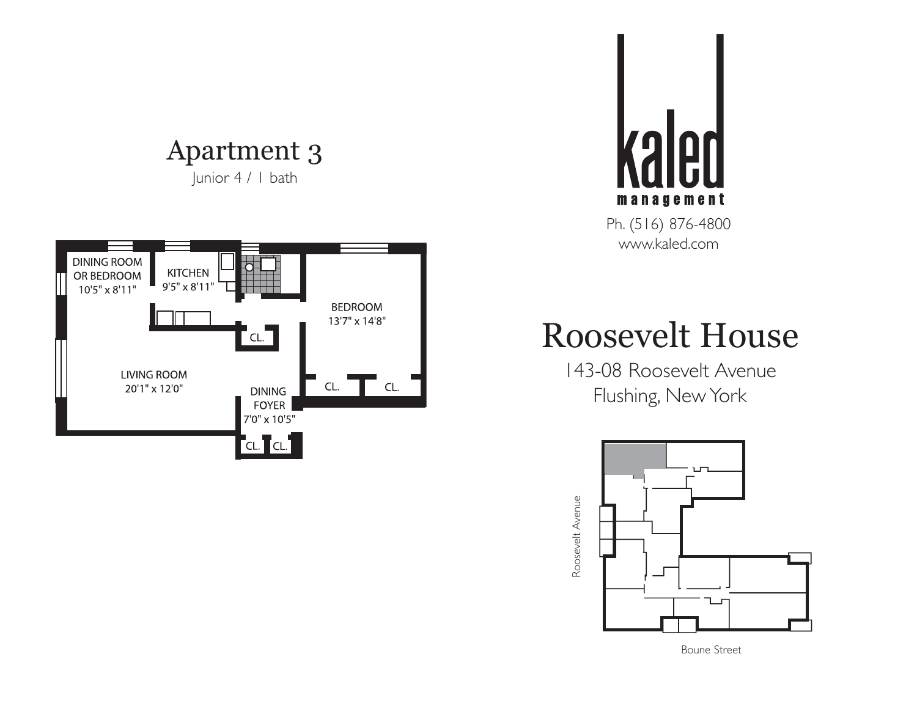#### Apartment 3 Junior 4 / 1 bath





# Roosevelt House



Boune Street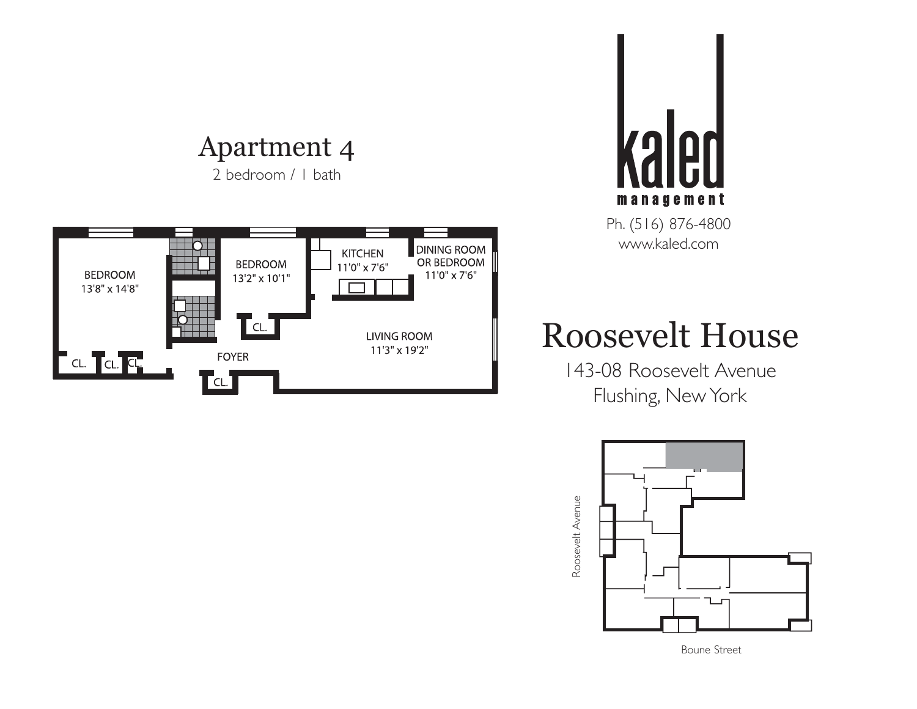2 bedroom / 1 bath





### Roosevelt House



Boune Street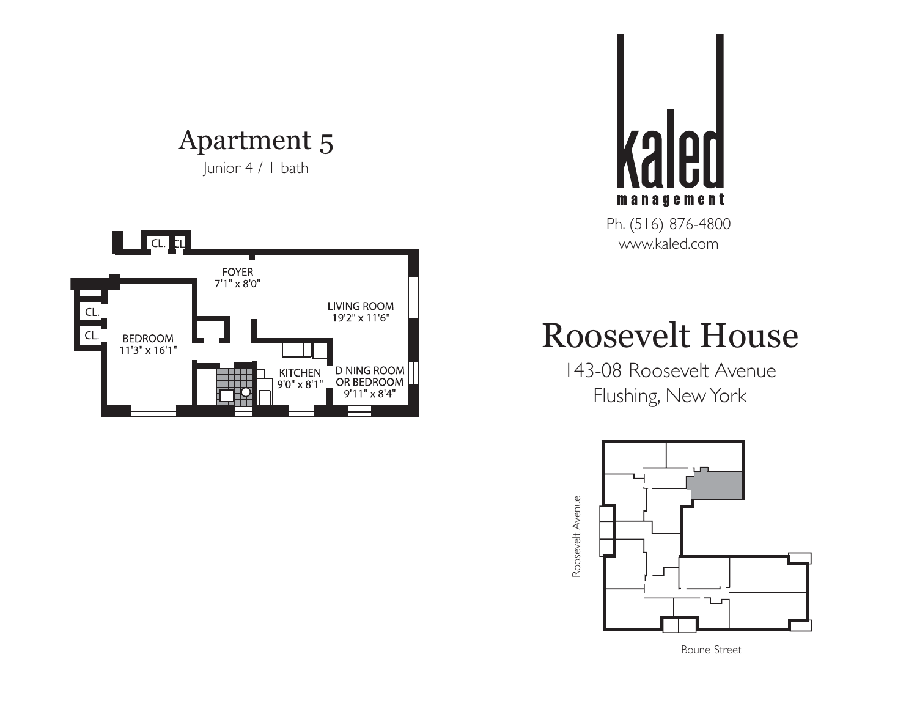Junior 4 / 1 bath





# Roosevelt House



Boune Street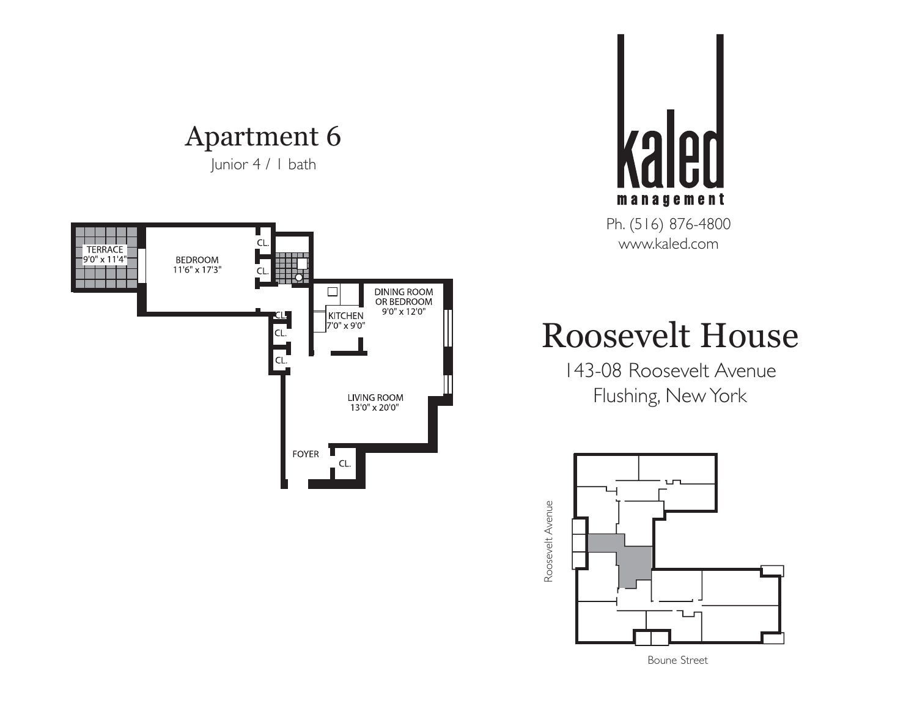Junior 4 / 1 bath





### Roosevelt House

143-08 Roosevelt Avenue Flushing, New York



Boune Street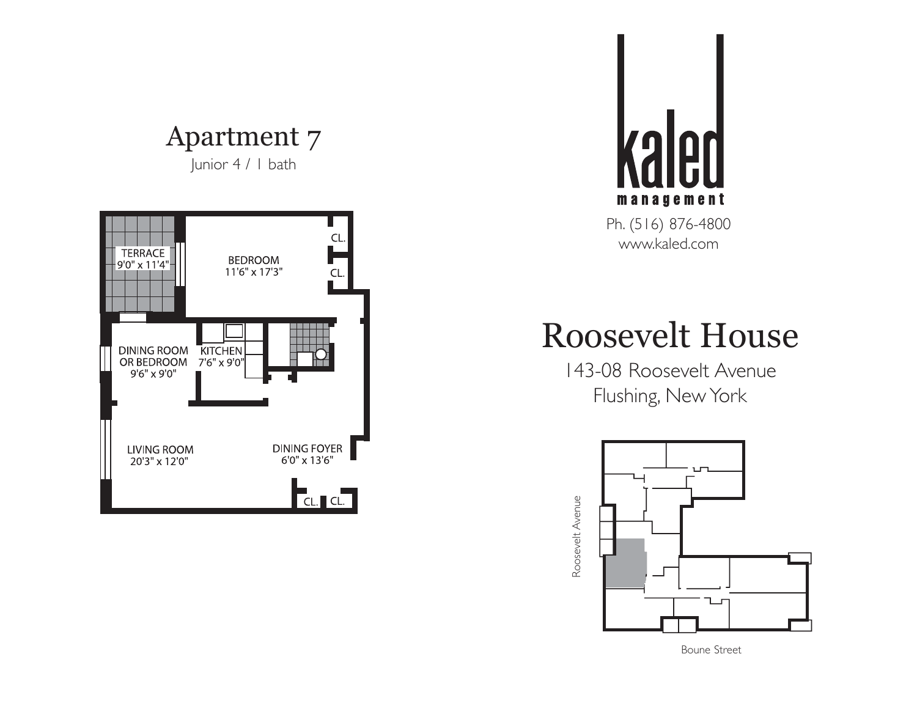Junior 4 / 1 bath





## Roosevelt House



Boune Street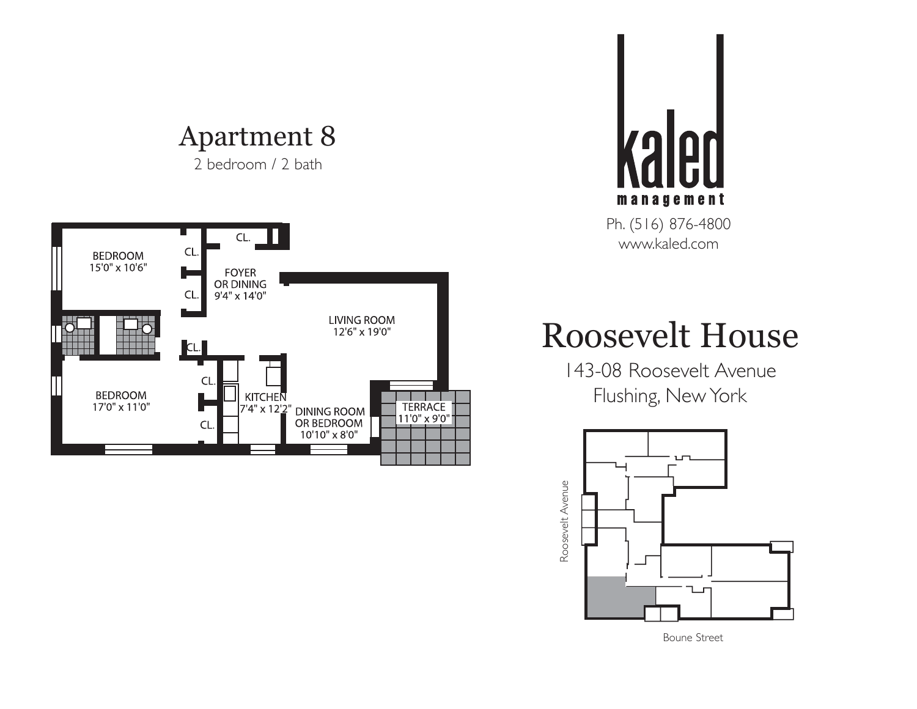2 bedroom / 2 bath





### Roosevelt House



Boune Street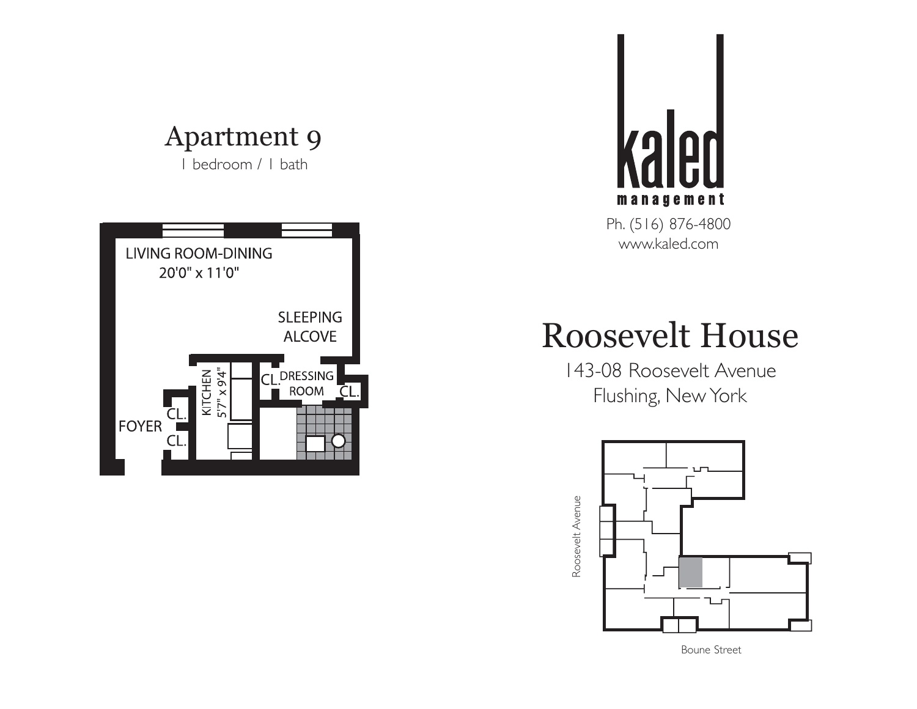1 bedroom / 1 bath





# Roosevelt House



Boune Street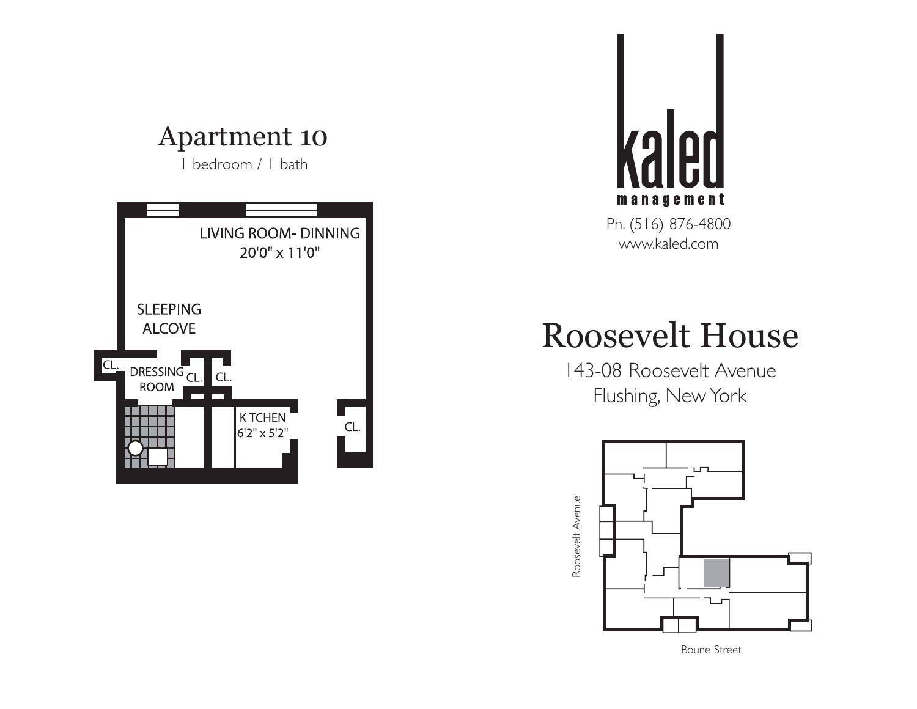1 bedroom / 1 bath





# Roosevelt House



Boune Street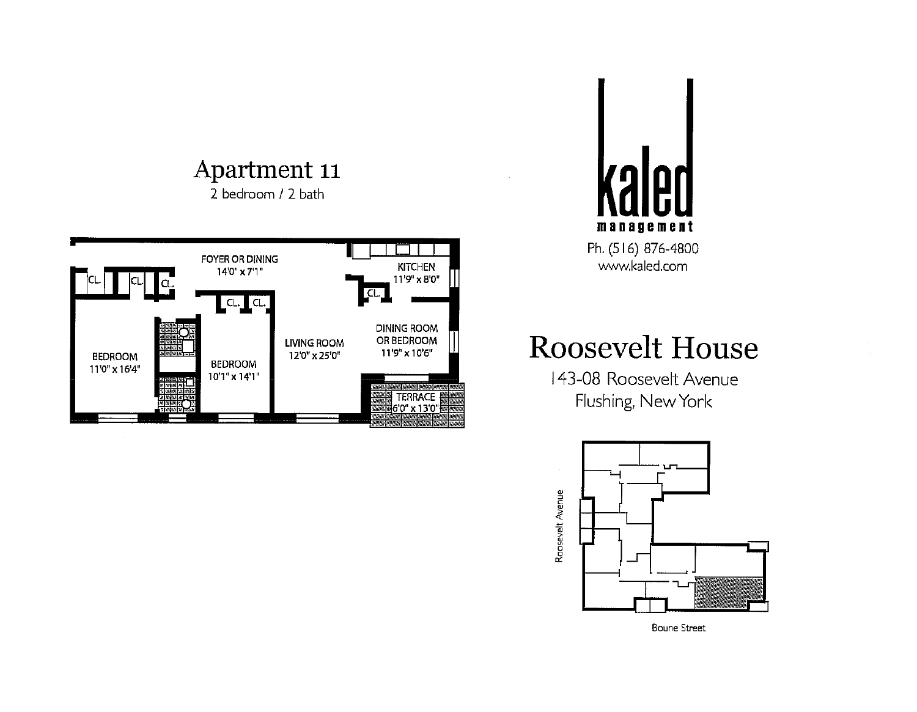2 bedroom / 2 bath





### **Roosevelt House**

143-08 Roosevelt Avenue Flushing, New York



**Boune Street**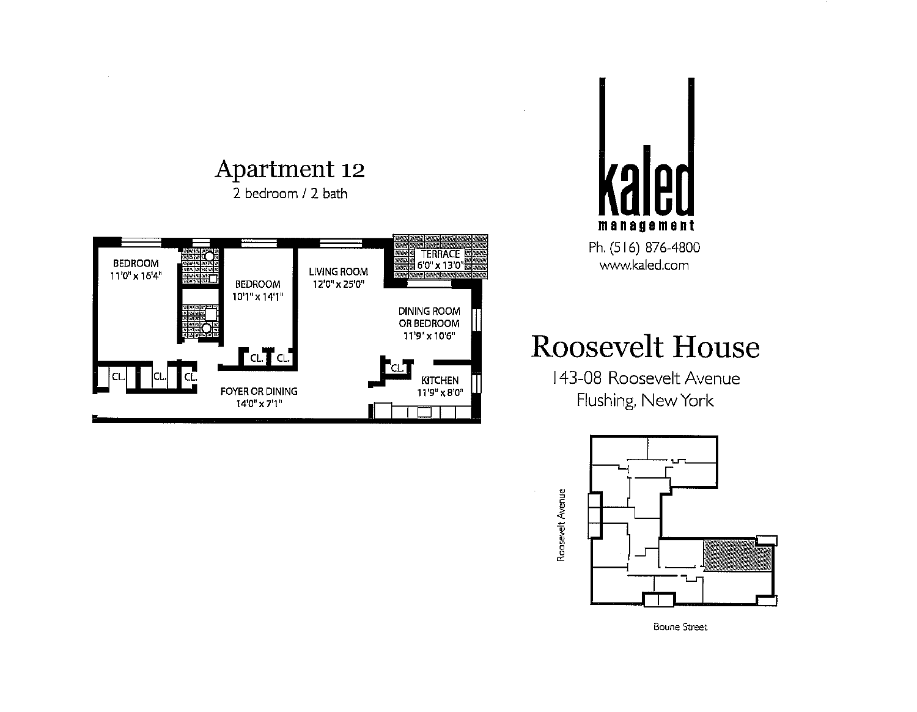



### **Roosevelt House**



**Boune Street**